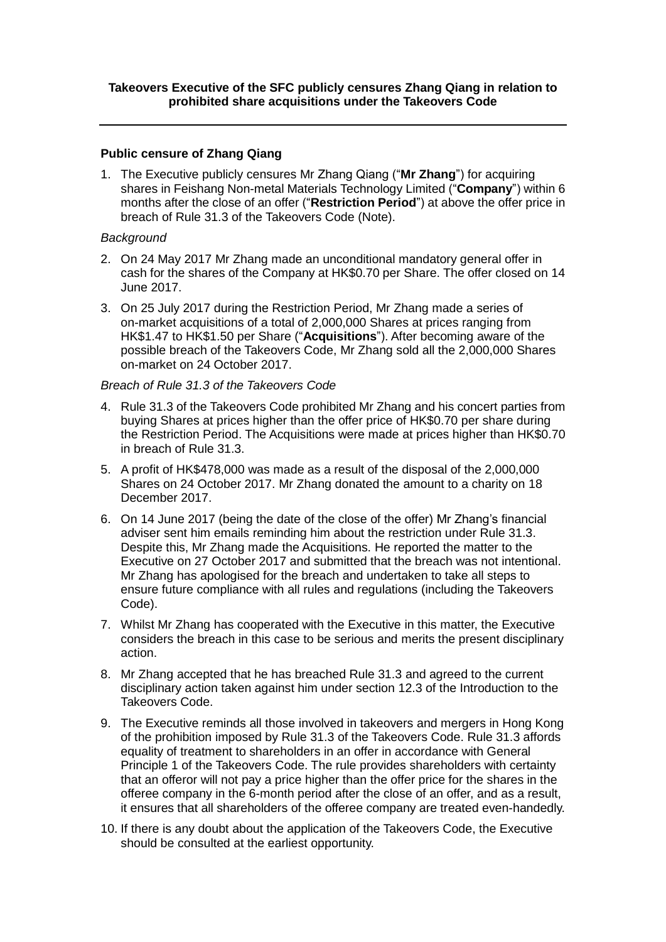## **Takeovers Executive of the SFC publicly censures Zhang Qiang in relation to prohibited share acquisitions under the Takeovers Code**

## **Public censure of Zhang Qiang**

1. The Executive publicly censures Mr Zhang Qiang ("**Mr Zhang**") for acquiring shares in Feishang Non-metal Materials Technology Limited ("**Company**") within 6 months after the close of an offer ("**Restriction Period**") at above the offer price in breach of Rule 31.3 of the Takeovers Code (Note).

## *Background*

- 2. On 24 May 2017 Mr Zhang made an unconditional mandatory general offer in cash for the shares of the Company at HK\$0.70 per Share. The offer closed on 14 June 2017.
- 3. On 25 July 2017 during the Restriction Period, Mr Zhang made a series of on-market acquisitions of a total of 2,000,000 Shares at prices ranging from HK\$1.47 to HK\$1.50 per Share ("**Acquisitions**"). After becoming aware of the possible breach of the Takeovers Code, Mr Zhang sold all the 2,000,000 Shares on-market on 24 October 2017.

## *Breach of Rule 31.3 of the Takeovers Code*

- 4. Rule 31.3 of the Takeovers Code prohibited Mr Zhang and his concert parties from buying Shares at prices higher than the offer price of HK\$0.70 per share during the Restriction Period. The Acquisitions were made at prices higher than HK\$0.70 in breach of Rule 31.3.
- 5. A profit of HK\$478,000 was made as a result of the disposal of the 2,000,000 Shares on 24 October 2017. Mr Zhang donated the amount to a charity on 18 December 2017.
- 6. On 14 June 2017 (being the date of the close of the offer) Mr Zhang's financial adviser sent him emails reminding him about the restriction under Rule 31.3. Despite this, Mr Zhang made the Acquisitions. He reported the matter to the Executive on 27 October 2017 and submitted that the breach was not intentional. Mr Zhang has apologised for the breach and undertaken to take all steps to ensure future compliance with all rules and regulations (including the Takeovers Code).
- 7. Whilst Mr Zhang has cooperated with the Executive in this matter, the Executive considers the breach in this case to be serious and merits the present disciplinary action.
- 8. Mr Zhang accepted that he has breached Rule 31.3 and agreed to the current disciplinary action taken against him under section 12.3 of the Introduction to the Takeovers Code.
- 9. The Executive reminds all those involved in takeovers and mergers in Hong Kong of the prohibition imposed by Rule 31.3 of the Takeovers Code. Rule 31.3 affords equality of treatment to shareholders in an offer in accordance with General Principle 1 of the Takeovers Code. The rule provides shareholders with certainty that an offeror will not pay a price higher than the offer price for the shares in the offeree company in the 6-month period after the close of an offer, and as a result, it ensures that all shareholders of the offeree company are treated even-handedly.
- 10. If there is any doubt about the application of the Takeovers Code, the Executive should be consulted at the earliest opportunity.